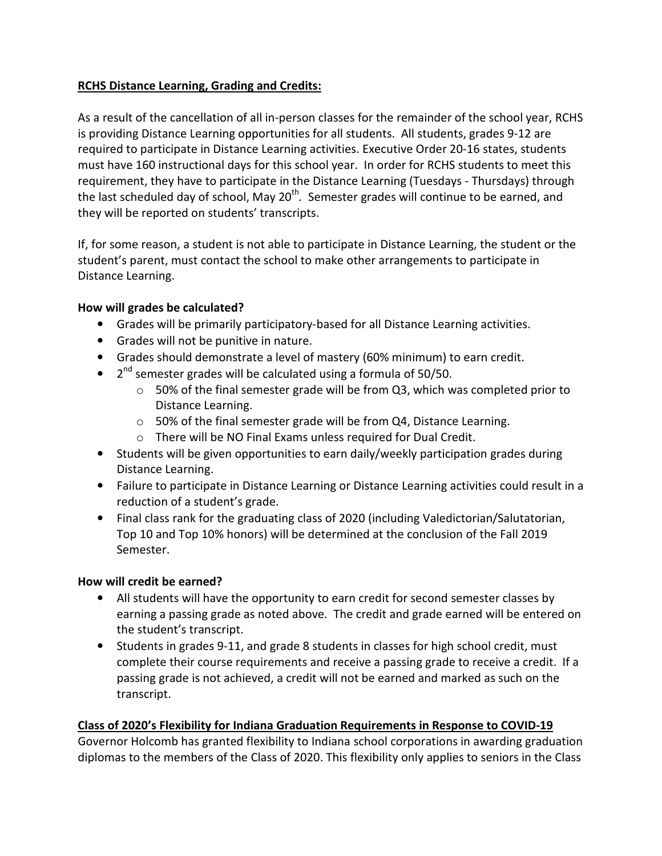## RCHS Distance Learning, Grading and Credits:

As a result of the cancellation of all in-person classes for the remainder of the school year, RCHS is providing Distance Learning opportunities for all students. All students, grades 9-12 are required to participate in Distance Learning activities. Executive Order 20-16 states, students must have 160 instructional days for this school year. In order for RCHS students to meet this requirement, they have to participate in the Distance Learning (Tuesdays - Thursdays) through the last scheduled day of school, May 20<sup>th</sup>. Semester grades will continue to be earned, and they will be reported on students' transcripts.

If, for some reason, a student is not able to participate in Distance Learning, the student or the student's parent, must contact the school to make other arrangements to participate in Distance Learning.

## How will grades be calculated?

- Grades will be primarily participatory-based for all Distance Learning activities.
- Grades will not be punitive in nature.
- Grades should demonstrate a level of mastery (60% minimum) to earn credit.
- $\bullet$  2<sup>nd</sup> semester grades will be calculated using a formula of 50/50.
	- $\circ$  50% of the final semester grade will be from Q3, which was completed prior to Distance Learning.
	- o 50% of the final semester grade will be from Q4, Distance Learning.
	- o There will be NO Final Exams unless required for Dual Credit.
- Students will be given opportunities to earn daily/weekly participation grades during Distance Learning.
- Failure to participate in Distance Learning or Distance Learning activities could result in a reduction of a student's grade.
- Final class rank for the graduating class of 2020 (including Valedictorian/Salutatorian, Top 10 and Top 10% honors) will be determined at the conclusion of the Fall 2019 Semester.

## How will credit be earned?

- All students will have the opportunity to earn credit for second semester classes by earning a passing grade as noted above. The credit and grade earned will be entered on the student's transcript.
- Students in grades 9-11, and grade 8 students in classes for high school credit, must complete their course requirements and receive a passing grade to receive a credit. If a passing grade is not achieved, a credit will not be earned and marked as such on the transcript.

## Class of 2020's Flexibility for Indiana Graduation Requirements in Response to COVID-19

Governor Holcomb has granted flexibility to Indiana school corporations in awarding graduation diplomas to the members of the Class of 2020. This flexibility only applies to seniors in the Class